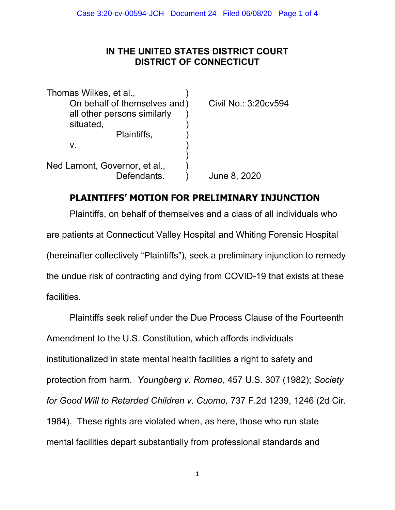## IN THE UNITED STATES DISTRICT COURT DISTRICT OF CONNECTICUT

Thomas Wilkes, et al., ) On behalf of themselves and ) Civil No.: 3:20cv594 all other persons similarly situated, Plaintiffs,  $v.$  )  $)$ Ned Lamont, Governor, et al., Defendants. ) June 8, 2020

## PLAINTIFFS' MOTION FOR PRELIMINARY INJUNCTION

Plaintiffs, on behalf of themselves and a class of all individuals who are patients at Connecticut Valley Hospital and Whiting Forensic Hospital (hereinafter collectively "Plaintiffs"), seek a preliminary injunction to remedy the undue risk of contracting and dying from COVID-19 that exists at these facilities.

 Plaintiffs seek relief under the Due Process Clause of the Fourteenth Amendment to the U.S. Constitution, which affords individuals institutionalized in state mental health facilities a right to safety and protection from harm. Youngberg v. Romeo, 457 U.S. 307 (1982); Society for Good Will to Retarded Children v. Cuomo, 737 F.2d 1239, 1246 (2d Cir. 1984). These rights are violated when, as here, those who run state mental facilities depart substantially from professional standards and

1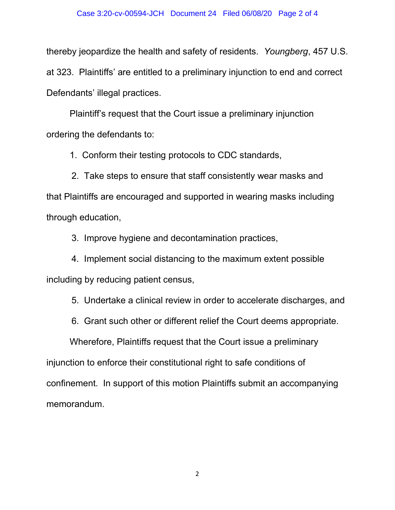## Case 3:20-cv-00594-JCH Document 24 Filed 06/08/20 Page 2 of 4

thereby jeopardize the health and safety of residents. Youngberg, 457 U.S. at 323. Plaintiffs' are entitled to a preliminary injunction to end and correct Defendants' illegal practices.

 Plaintiff's request that the Court issue a preliminary injunction ordering the defendants to:

1. Conform their testing protocols to CDC standards,

 2. Take steps to ensure that staff consistently wear masks and that Plaintiffs are encouraged and supported in wearing masks including through education,

3. Improve hygiene and decontamination practices,

 4. Implement social distancing to the maximum extent possible including by reducing patient census,

5. Undertake a clinical review in order to accelerate discharges, and

6. Grant such other or different relief the Court deems appropriate.

Wherefore, Plaintiffs request that the Court issue a preliminary injunction to enforce their constitutional right to safe conditions of confinement. In support of this motion Plaintiffs submit an accompanying memorandum.

2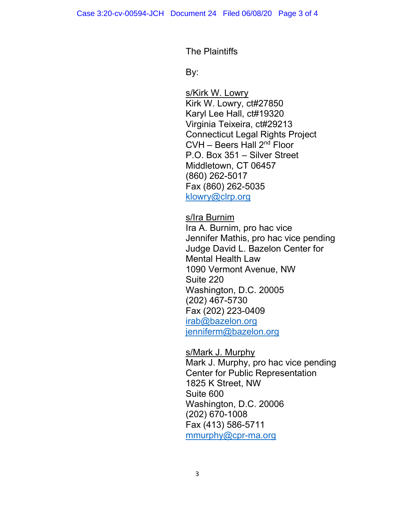The Plaintiffs

discovering the By: the By:

 s/Kirk W. Lowry Kirk W. Lowry, ct#27850 Karyl Lee Hall, ct#19320 Virginia Teixeira, ct#29213 Connecticut Legal Rights Project  $CVH - Beers Hall 2<sup>nd</sup> Floor$  P.O. Box 351 – Silver Street Middletown, CT 06457 (860) 262-5017 Fax (860) 262-5035 klowry@clrp.org

s/Ira Burnim

 Ira A. Burnim, pro hac vice Jennifer Mathis, pro hac vice pending Judge David L. Bazelon Center for Mental Health Law 1090 Vermont Avenue, NW Suite 220 Washington, D.C. 20005 (202) 467-5730 Fax (202) 223-0409 irab@bazelon.org jenniferm@bazelon.org

s/Mark J. Murphy Mark J. Murphy, pro hac vice pending Center for Public Representation 1825 K Street, NW Suite 600 Washington, D.C. 20006 (202) 670-1008 Fax (413) 586-5711 mmurphy@cpr-ma.org